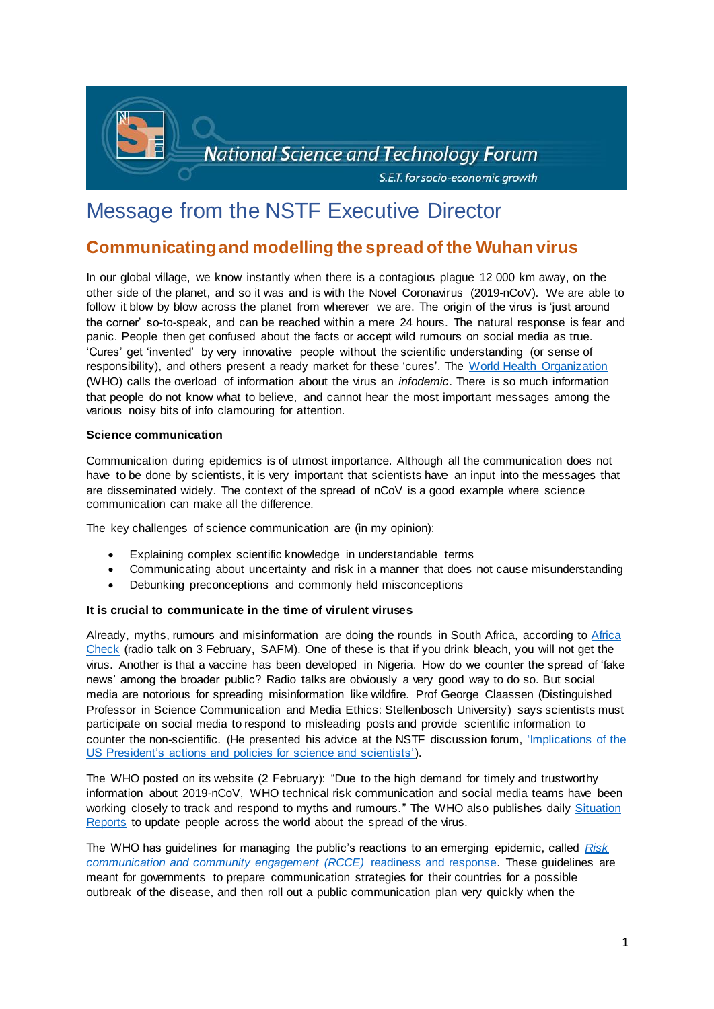

## Message from the NSTF Executive Director

### **Communicating and modelling the spread of the Wuhan virus**

In our global village, we know instantly when there is a contagious plague 12 000 km away, on the other side of the planet, and so it was and is with the Novel Coronavirus (2019-nCoV). We are able to follow it blow by blow across the planet from wherever we are. The origin of the virus is 'just around the corner' so-to-speak, and can be reached within a mere 24 hours. The natural response is fear and panic. People then get confused about the facts or accept wild rumours on social media as true. 'Cures' get 'invented' by very innovative people without the scientific understanding (or sense of responsibility), and others present a ready market for these 'cures'. The [World Health Organization](https://www.who.int/) (WHO) calls the overload of information about the virus an *infodemic*. There is so much information that people do not know what to believe, and cannot hear the most important messages among the various noisy bits of info clamouring for attention.

### **Science communication**

Communication during epidemics is of utmost importance. Although all the communication does not have to be done by scientists, it is very important that scientists have an input into the messages that are disseminated widely. The context of the spread of nCoV is a good example where science communication can make all the difference.

The key challenges of science communication are (in my opinion):

- Explaining complex scientific knowledge in understandable terms
- Communicating about uncertainty and risk in a manner that does not cause misunderstanding
- Debunking preconceptions and commonly held misconceptions

### **It is crucial to communicate in the time of virulent viruses**

Already, myths, rumours and misinformation are doing the rounds in South Africa, according to [Africa](https://africacheck.org/)  [Check](https://africacheck.org/) (radio talk on 3 February, SAFM). One of these is that if you drink bleach, you will not get the virus. Another is that a vaccine has been developed in Nigeria. How do we counter the spread of 'fake news' among the broader public? Radio talks are obviously a very good way to do so. But social media are notorious for spreading misinformation like wildfire. Prof George Claassen (Distinguished Professor in Science Communication and Media Ethics: Stellenbosch University) says scientists must participate on social media to respond to misleading posts and provide scientific information to counter the non-scientific. (He presented his advice at the NSTF discussion forum, ['Implications of the](http://www.nstf.org.za/discussion-forum/implications-of-the-us-presidents-actions-and-policies-for-science-and-scientists/)  [US President's actions and policies for science and scientists'\)](http://www.nstf.org.za/discussion-forum/implications-of-the-us-presidents-actions-and-policies-for-science-and-scientists/).

The WHO posted on its website (2 February): "Due to the high demand for timely and trustworthy information about 2019-nCoV, WHO technical risk communication and social media teams have been working closely to track and respond to myths and rumours." The WHO also publishes daily Situation [Reports](https://www.who.int/emergencies/diseases/novel-coronavirus-2019/situation-reports/) to update people across the world about the spread of the virus.

The WHO has guidelines for managing the public's reactions to an emerging epidemic, called *[Risk](https://www.who.int/publications-detail/risk-communication-and-community-engagement-readiness-and-initial-response-for-novel-coronaviruses-(-ncov))  [communication and community engagement \(RCCE\)](https://www.who.int/publications-detail/risk-communication-and-community-engagement-readiness-and-initial-response-for-novel-coronaviruses-(-ncov))* readiness and response. These guidelines are meant for governments to prepare communication strategies for their countries for a possible outbreak of the disease, and then roll out a public communication plan very quickly when the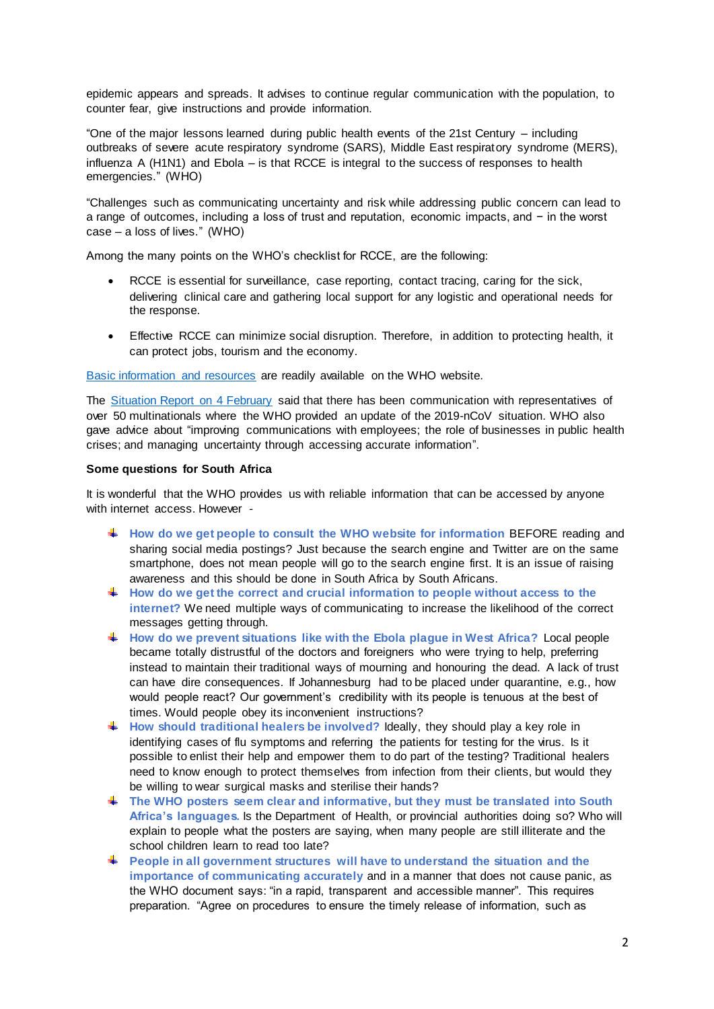epidemic appears and spreads. It advises to continue regular communication with the population, to counter fear, give instructions and provide information.

"One of the major lessons learned during public health events of the 21st Century – including outbreaks of severe acute respiratory syndrome (SARS), Middle East respiratory syndrome (MERS), influenza A (H1N1) and Ebola – is that RCCE is integral to the success of responses to health emergencies." (WHO)

"Challenges such as communicating uncertainty and risk while addressing public concern can lead to a range of outcomes, including a loss of trust and reputation, economic impacts, and − in the worst case – a loss of lives." (WHO)

Among the many points on the WHO's checklist for RCCE, are the following:

- RCCE is essential for surveillance, case reporting, contact tracing, caring for the sick, delivering clinical care and gathering local support for any logistic and operational needs for the response.
- Effective RCCE can minimize social disruption. Therefore, in addition to protecting health, it can protect jobs, tourism and the economy.

[Basic information and resources](https://www.who.int/emergencies/diseases/novel-coronavirus-2019/advice-for-public) are readily available on the WHO website.

The [Situation Report on 4 February](https://www.who.int/docs/default-source/coronaviruse/situation-reports/20200204-sitrep-15-ncov.pdf?sfvrsn=88fe8ad6_2) said that there has been communication with representatives of over 50 multinationals where the WHO provided an update of the 2019-nCoV situation. WHO also gave advice about "improving communications with employees; the role of businesses in public health crises; and managing uncertainty through accessing accurate information".

### **Some questions for South Africa**

It is wonderful that the WHO provides us with reliable information that can be accessed by anyone with internet access. However -

- **How do we get people to consult the WHO website for information** BEFORE reading and sharing social media postings? Just because the search engine and Twitter are on the same smartphone, does not mean people will go to the search engine first. It is an issue of raising awareness and this should be done in South Africa by South Africans.
- **How do we get the correct and crucial information to people without access to the internet?** We need multiple ways of communicating to increase the likelihood of the correct messages getting through.
- **How do we prevent situations like with the Ebola plague in West Africa?** Local people became totally distrustful of the doctors and foreigners who were trying to help, preferring instead to maintain their traditional ways of mourning and honouring the dead. A lack of trust can have dire consequences. If Johannesburg had to be placed under quarantine, e.g., how would people react? Our government's credibility with its people is tenuous at the best of times. Would people obey its inconvenient instructions?
- ₩., **How should traditional healers be involved?** Ideally, they should play a key role in identifying cases of flu symptoms and referring the patients for testing for the virus. Is it possible to enlist their help and empower them to do part of the testing? Traditional healers need to know enough to protect themselves from infection from their clients, but would they be willing to wear surgical masks and sterilise their hands?
- **The WHO posters seem clear and informative, but they must be translated into South Africa's languages.** Is the Department of Health, or provincial authorities doing so? Who will explain to people what the posters are saying, when many people are still illiterate and the school children learn to read too late?
- **People in all government structures will have to understand the situation and the importance of communicating accurately** and in a manner that does not cause panic, as the WHO document says: "in a rapid, transparent and accessible manner". This requires preparation. "Agree on procedures to ensure the timely release of information, such as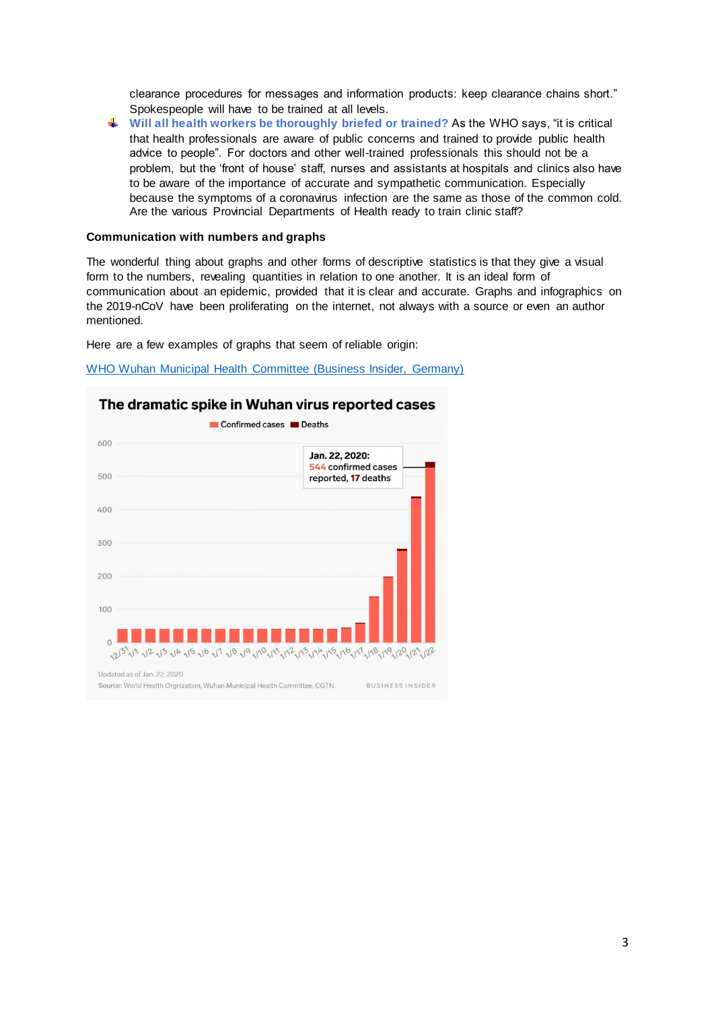clearance procedures for messages and information products: keep clearance chains short." Spokespeople will have to be trained at all levels.

**Will all health workers be thoroughly briefed or trained?** As the WHO says, "it is critical that health professionals are aware of public concerns and trained to provide public health advice to people". For doctors and other well-trained professionals this should not be a problem, but the 'front of house' staff, nurses and assistants at hospitals and clinics also have to be aware of the importance of accurate and sympathetic communication. Especially because the symptoms of a coronavirus infection are the same as those of the common cold. Are the various Provincial Departments of Health ready to train clinic staff?

#### **Communication with numbers and graphs**

The wonderful thing about graphs and other forms of descriptive statistics is that they give a visual form to the numbers, revealing quantities in relation to one another. It is an ideal form of communication about an epidemic, provided that it is clear and accurate. Graphs and infographics on the 2019-nCoV have been proliferating on the internet, not always with a source or even an author mentioned.

Here are a few examples of graphs that seem of reliable origin:

[WHO Wuhan Municipal Health Committee \(Business Insider, Germany\)](https://cdn.businessinsider.de/wp-content/uploads/2020/01/e12805637b8a34b620b4d31e2a3d0fda7ba7f210-800x693.jpg)



### The dramatic spike in Wuhan virus reported cases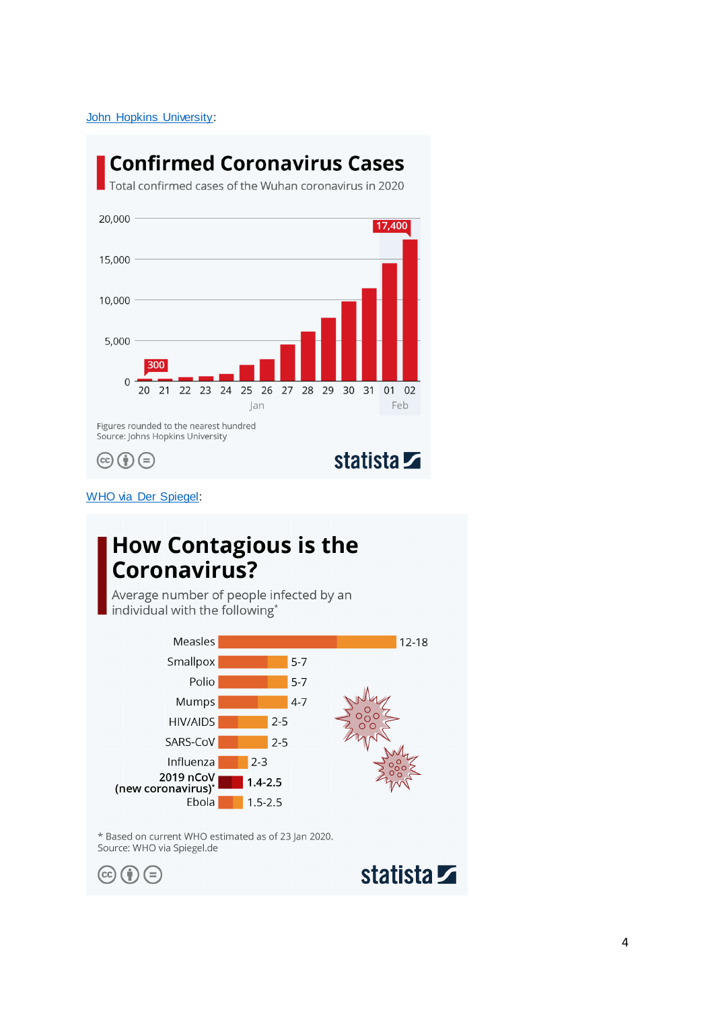[John Hopkins University:](https://cdn.statcdn.com/Infographic/images/normal/20634.jpeg)

# **Confirmed Coronavirus Cases**

Total confirmed cases of the Wuhan coronavirus in 2020



[WHO via Der Spiegel:](https://cdn.statcdn.com/Infographic/images/normal/20641.jpeg)

# **How Contagious is the** Coronavirus?

Average number of people infected by an individual with the following\*



\* Based on current WHO estimated as of 23 Jan 2020. Source: WHO via Spiegel.de

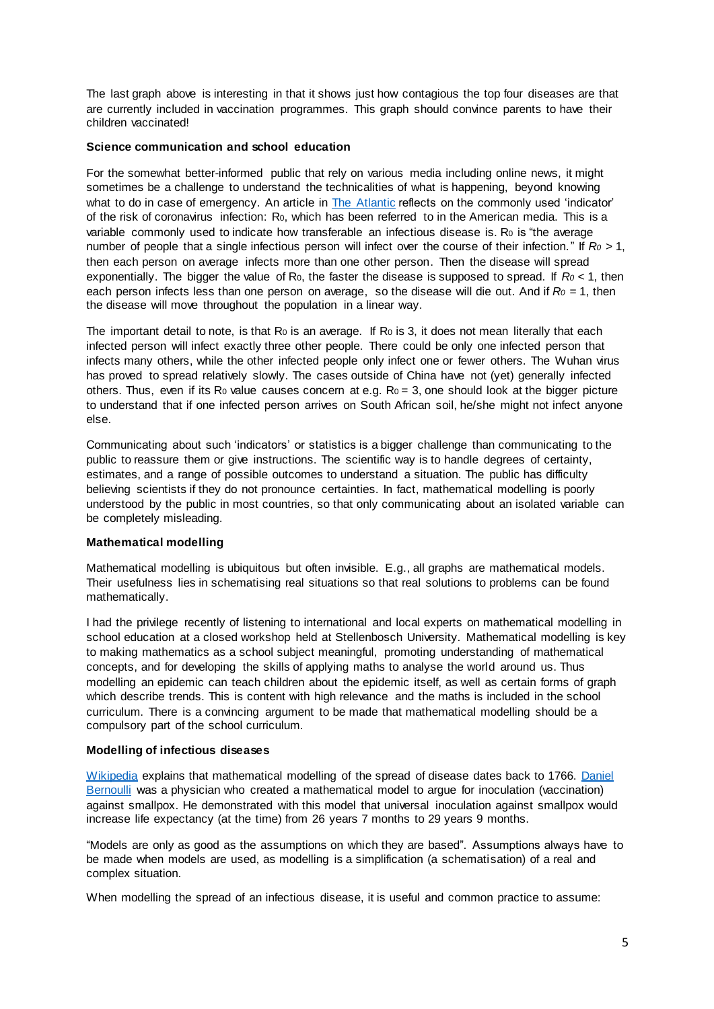The last graph above is interesting in that it shows just how contagious the top four diseases are that are currently included in vaccination programmes. This graph should convince parents to have their children vaccinated!

### **Science communication and school education**

For the somewhat better-informed public that rely on various media including online news, it might sometimes be a challenge to understand the technicalities of what is happening, beyond knowing what to do in case of emergency. An article in [The Atlantic](https://www.theatlantic.com/science/archive/2020/01/how-fast-and-far-will-new-coronavirus-spread/605632/?utm_source=Nature+Briefing&utm_campaign=5f5fba2346-briefing-dy-20200129&utm_medium=email&utm_term=0_c9dfd39373-5f5fba2346-44314553) reflects on the commonly used 'indicator' of the risk of coronavirus infection: R<sub>0</sub>, which has been referred to in the American media. This is a variable commonly used to indicate how transferable an infectious disease is. R<sub>0</sub> is "the average number of people that a single infectious person will infect over the course of their infection." If *R<sup>0</sup>* > 1, then each person on average infects more than one other person. Then the disease will spread exponentially. The bigger the value of R0, the faster the disease is supposed to spread. If *R<sup>0</sup>* < 1, then each person infects less than one person on average, so the disease will die out. And if *R<sup>0</sup>* = 1, then the disease will move throughout the population in a linear way.

The important detail to note, is that  $Ro$  is an average. If  $Ro$  is 3, it does not mean literally that each infected person will infect exactly three other people. There could be only one infected person that infects many others, while the other infected people only infect one or fewer others. The Wuhan virus has proved to spread relatively slowly. The cases outside of China have not (yet) generally infected others. Thus, even if its R<sub>0</sub> value causes concern at e.g.  $Ro = 3$ , one should look at the bigger picture to understand that if one infected person arrives on South African soil, he/she might not infect anyone else.

Communicating about such 'indicators' or statistics is a bigger challenge than communicating to the public to reassure them or give instructions. The scientific way is to handle degrees of certainty, estimates, and a range of possible outcomes to understand a situation. The public has difficulty believing scientists if they do not pronounce certainties. In fact, mathematical modelling is poorly understood by the public in most countries, so that only communicating about an isolated variable can be completely misleading.

### **Mathematical modelling**

Mathematical modelling is ubiquitous but often invisible. E.g., all graphs are mathematical models. Their usefulness lies in schematising real situations so that real solutions to problems can be found mathematically.

I had the privilege recently of listening to international and local experts on mathematical modelling in school education at a closed workshop held at Stellenbosch University. Mathematical modelling is key to making mathematics as a school subject meaningful, promoting understanding of mathematical concepts, and for developing the skills of applying maths to analyse the world around us. Thus modelling an epidemic can teach children about the epidemic itself, as well as certain forms of graph which describe trends. This is content with high relevance and the maths is included in the school curriculum. There is a convincing argument to be made that mathematical modelling should be a compulsory part of the school curriculum.

### **Modelling of infectious diseases**

[Wikipedia](https://en.wikipedia.org/wiki/Mathematical_modelling_of_infectious_disease) explains that mathematical modelling of the spread of disease dates back to 1766. [Daniel](https://en.wikipedia.org/wiki/Daniel_Bernoulli)  [Bernoulli](https://en.wikipedia.org/wiki/Daniel_Bernoulli) was a physician who created a mathematical model to argue for inoculation (vaccination) against smallpox. He demonstrated with this model that universal inoculation against smallpox would increase life expectancy (at the time) from 26 years 7 months to 29 years 9 months.

"Models are only as good as the assumptions on which they are based". Assumptions always have to be made when models are used, as modelling is a simplification (a schematisation) of a real and complex situation.

When modelling the spread of an infectious disease, it is useful and common practice to assume: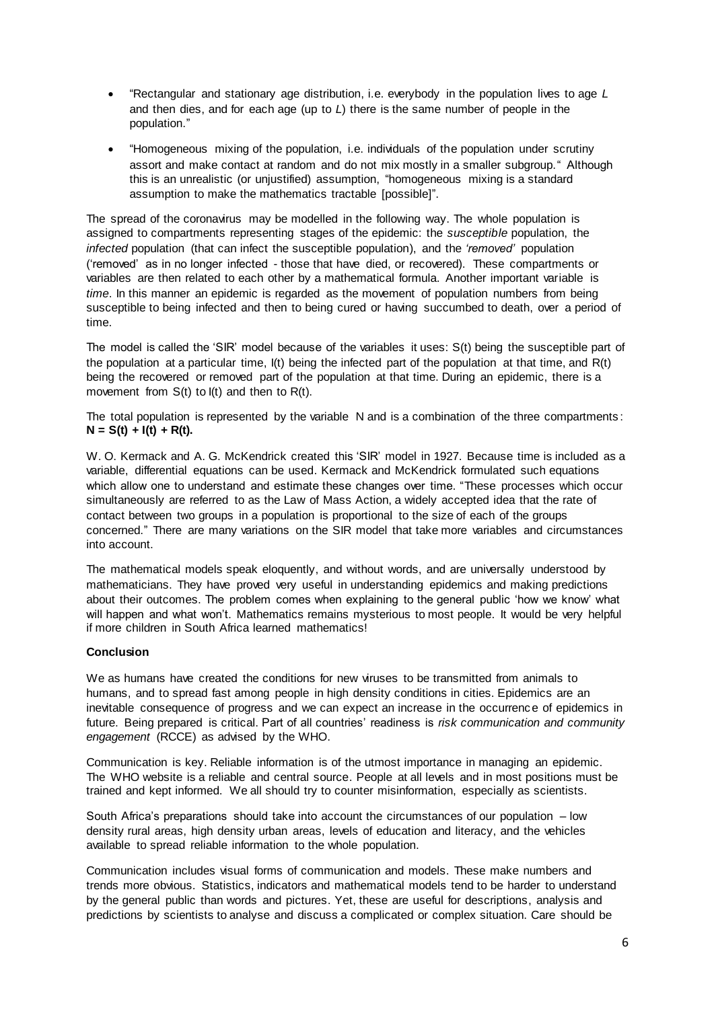- "Rectangular and stationary age distribution, i.e. everybody in the population lives to age *L* and then dies, and for each age (up to *L*) there is the same number of people in the population."
- "Homogeneous mixing of the population, i.e. individuals of the population under scrutiny assort and make contact at random and do not mix mostly in a smaller subgroup." Although this is an unrealistic (or unjustified) assumption, "homogeneous mixing is a standard assumption to make the mathematics tractable [possible]".

The spread of the coronavirus may be modelled in the following way. The whole population is assigned to compartments representing stages of the epidemic: the *susceptible* population, the *infected* population (that can infect the susceptible population), and the *'removed'* population ('removed' as in no longer infected - those that have died, or recovered). These compartments or variables are then related to each other by a mathematical formula. Another important variable is *time*. In this manner an epidemic is regarded as the movement of population numbers from being susceptible to being infected and then to being cured or having succumbed to death, over a period of time.

The model is called the 'SIR' model because of the variables it uses: S(t) being the susceptible part of the population at a particular time, I(t) being the infected part of the population at that time, and R(t) being the recovered or removed part of the population at that time. During an epidemic, there is a movement from S(t) to I(t) and then to R(t).

The total population is represented by the variable N and is a combination of the three compartments :  $N = S(t) + I(t) + R(t)$ .

W. O. Kermack and A. G. McKendrick created this 'SIR' model in 1927. Because time is included as a variable, differential equations can be used. Kermack and McKendrick formulated such equations which allow one to understand and estimate these changes over time. "These processes which occur simultaneously are referred to as the Law of Mass Action, a widely accepted idea that the rate of contact between two groups in a population is proportional to the size of each of the groups concerned." There are many variations on the SIR model that take more variables and circumstances into account.

The mathematical models speak eloquently, and without words, and are universally understood by mathematicians. They have proved very useful in understanding epidemics and making predictions about their outcomes. The problem comes when explaining to the general public 'how we know' what will happen and what won't. Mathematics remains mysterious to most people. It would be very helpful if more children in South Africa learned mathematics!

### **Conclusion**

We as humans have created the conditions for new viruses to be transmitted from animals to humans, and to spread fast among people in high density conditions in cities. Epidemics are an inevitable consequence of progress and we can expect an increase in the occurrence of epidemics in future. Being prepared is critical. Part of all countries' readiness is *risk communication and community engagement* (RCCE) as advised by the WHO.

Communication is key. Reliable information is of the utmost importance in managing an epidemic. The WHO website is a reliable and central source. People at all levels and in most positions must be trained and kept informed. We all should try to counter misinformation, especially as scientists.

South Africa's preparations should take into account the circumstances of our population – low density rural areas, high density urban areas, levels of education and literacy, and the vehicles available to spread reliable information to the whole population.

Communication includes visual forms of communication and models. These make numbers and trends more obvious. Statistics, indicators and mathematical models tend to be harder to understand by the general public than words and pictures. Yet, these are useful for descriptions, analysis and predictions by scientists to analyse and discuss a complicated or complex situation. Care should be